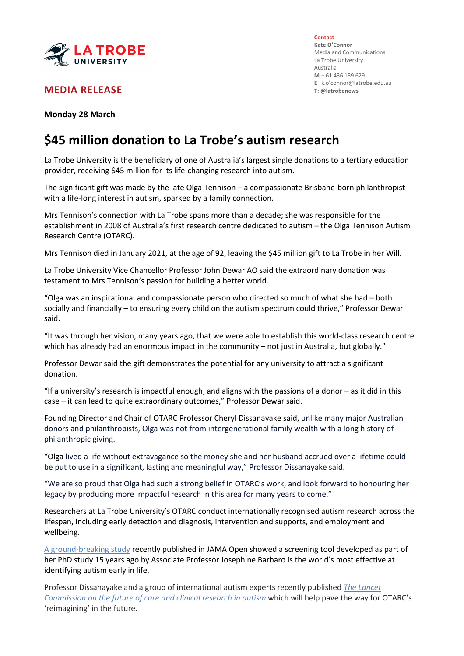

## **MEDIA RELEASE**

**Contact Kate O'Connor** Media and Communications La Trobe University Australia **M** + 61 436 189 629 **E** k.o'connor@latrobe.edu.au

**Monday 28 March**

## **\$45 million donation to La Trobe's autism research**

La Trobe University is the beneficiary of one of Australia's largest single donations to a tertiary education provider, receiving \$45 million for its life-changing research into autism.

The significant gift was made by the late Olga Tennison – a compassionate Brisbane-born philanthropist with a life-long interest in autism, sparked by a family connection.

Mrs Tennison's connection with La Trobe spans more than a decade; she was responsible for the establishment in 2008 of Australia's first research centre dedicated to autism – the Olga Tennison Autism Research Centre (OTARC).

Mrs Tennison died in January 2021, at the age of 92, leaving the \$45 million gift to La Trobe in her Will.

La Trobe University Vice Chancellor Professor John Dewar AO said the extraordinary donation was testament to Mrs Tennison's passion for building a better world.

"Olga was an inspirational and compassionate person who directed so much of what she had – both socially and financially – to ensuring every child on the autism spectrum could thrive," Professor Dewar said.

"It was through her vision, many years ago, that we were able to establish this world-class research centre which has already had an enormous impact in the community – not just in Australia, but globally."

Professor Dewar said the gift demonstrates the potential for any university to attract a significant donation.

"If a university's research is impactful enough, and aligns with the passions of a donor – as it did in this case – it can lead to quite extraordinary outcomes," Professor Dewar said.

Founding Director and Chair of OTARC Professor Cheryl Dissanayake said, unlike many major Australian donors and philanthropists, Olga was not from intergenerational family wealth with a long history of philanthropic giving.

"Olga lived a life without extravagance so the money she and her husband accrued over a lifetime could be put to use in a significant, lasting and meaningful way," Professor Dissanayake said.

"We are so proud that Olga had such a strong belief in OTARC's work, and look forward to honouring her legacy by producing more impactful research in this area for many years to come."

Researchers at La Trobe University's OTARC conduct internationally recognised autism research across the lifespan, including early detection and diagnosis, intervention and supports, and employment and wellbeing.

A ground-breaking study recently published in JAMA Open showed a screening tool developed as part of her PhD study 15 years ago by Associate Professor Josephine Barbaro is the world's most effective at identifying autism early in life.

Professor Dissanayake and a group of international autism experts recently published *The Lancet Commission on the future of care and clinical research in autism* which will help pave the way for OTARC's 'reimagining' in the future.